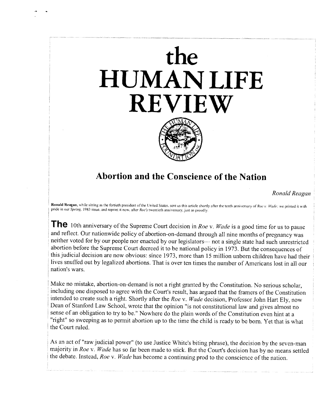## HUMAN LIFI REVIE the



## Abortion and the Conscience of the Nation

Ronald Reagan

Ronald Reagan, while sitting as the fortieth president of the United States, sent us this article shortly after the tenth anniversary of Roe v. Wade: we printed it with pride in our Spring, 1983 issue, and reprint it now, after Roe's twentieth anniversary, just as proudly.

I l

> The 10th anniversary of the Supreme Court decision in Roe v. Wade is a good time for us to pause and reflect. Our nationwide policy of abortion-on-demand through all nine months of pregnancy was neither voted for by our people nor enacted by our legislators— not a single state had such unrestricted abortion before the Supreme Court decreed it to be national policy in 1973. But the consequences of this judicial decision are now obvious: since 1973, more than 15 million unborn children have had their lives snuffed out by legalized abortions. That is over ten times the number of Americans lost in all our nation's wars.

Make no mistake, abortion-on-demand is not a right granted by the Constitution. No serious scholar, including one disposed to agree with the Court's result, has argued that the framers of the Constitution intended to create such a right. Shortly after the Roe v. Wade decision, Professor John Hart Ely, now Dean of Stanford Law School, wrote that the opinion "is not constitutional law and gives almost no sense of an obligation to try to be." Nowhere do the plain words of the Constitution even hint at a "right" so sweeping as to permit abortion up to the time the child is ready to be born. Yet that is what the Court ruled.

As an act of "raw judicial power" (to use Justice White's biting phrase), the decision by the seven-man majority in Roe v. Wade has so far been made to stick. But the Court's decision has by no means settled the debate. Instead, Roe v. Wade has become a continuing prod to the conscience of the nation.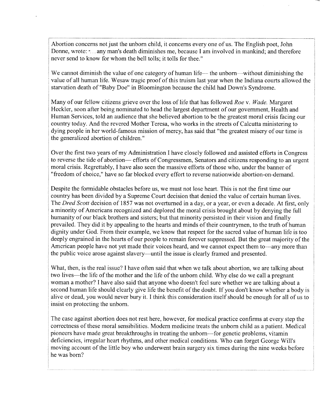Abortion concerns not just the unbom child, it concems every one of us. The English poet, John Donne, wrote: "... any man's death diminishes me, because I am involved in mankind; and therefore never send to know for whom the bell tolls; it tolls for thee."

We cannot diminish the value of one category of human life— the unborn—without diminishing the value of all human life. Wesaw tragic proof of this truism last year when the Indiana courts allowed the starvation death of "Baby Doe" in Bloomington because the child had Down's Syndrome.

Many of our fellow citizens grieve over the loss of life that has followed Roe v. Wade. Margaret Heckler, soon after being nominated to head the largest department of our government, Health and Human Services, told an audience that she believed abortion to be the greatest moral crisis facing our country today. And the revered Mother Teresa, who works in the streets of Calcutta ministering to dying people in her world-famous mission of mercy, has said that "the greatest misery of our time is the generalized abortion of children."

Over the first two years of my Administration I have closely followed and assisted efforts in Congress to reverse the tide of abortion— efforts of Congressmen, Senators and citizens responding to an urgent moral crisis. Regrettably, Ihave also seen the massive efforts of those who, under the banner of "freedom of choice," have so far blocked every effort to reverse nationwide abortion-on-demand.

Despite the formidable obstacles before us, we must not lose heart. This is not the first time our country has been divided by a Supreme Court decision that denied the value of certain human lives. The Dred Scott decision of 1857 was not overturned in a day, or a year, or even a decade. At first, only a minority of Americans recognized and deplored the moral crisis brought about by denying the full humanity of our black brothers and sisters; but that minority persisted in their vision and finally prevailed. They did it by appealing to the hearts and minds of their countrymen, to the truth of human dignity under God. From their example, we know that respect for the sacred value of human life is too deeply engrained in the hearts of our people to remain forever suppressed. But the great majority of the American people have not yet made their voices heard, and we cannot expect them to—any more than the public voice arose against slavery—until the issue is clearly framed and presented.

What, then, is the real issue? I have often said that when we talk about abortion, we are talking about two lives—the life of the mother and the life of the unborn child. Why else do we call a pregnant woman a mother? I have also said that anyone who doesn't feel sure whether we are talking about a second human life should clearly give life the benefit of the doubt. If you don't know whether a body is alive or dead, you would never bury it. I think this consideration itself should be enough for all of us to insist on protecting the unbom.

The case against abortion does not rest here, however, for medical practice confirms at every step the correctness of these moral sensibilities. Modern medicine treats the unborn child as a patient. Medical pioneers have made great breakthroughs in treating the unbom-for genetic problems, vitamin deficiencies, irregular heart rhythms, and other medical conditions. Who can forget George Will's moving account of the little boy who underwent brain surgery six times during the nine weeks before he was born?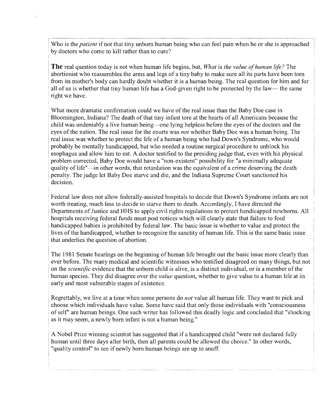Who is the *patient* if not that tiny unborn human being who can feel pain when he or she is approached by doctors who come to kill rather than to cure?

**The** real question today is not when human life begins, but, *What* is the value of human life? The abortionist who reassembles the arms and legs of a tiny baby to make sure all its parts have been torn from its mother's body can hardly doubt whether it is a human being. The real question for him and for all of us is whether that tiny human life has a God-given right to be protected by the law— the same right we have.

What more dramatic confirmation could we have of the real issue than the Baby Doe case in Bloomington, Indiana? The death of that tiny infant tore at the hearts of all Americans because the child was undeniably a live human being-one lying helpless before the eyes of the doctors and the eyes of the nation. The real issue for the courts was not whether Baby Doe was a human being. The real issue was whether to protect the life of a human being who had Down's Syndrome, who would probably be mentally handicapped, but who needed a routine surgical procedure to unblock his esophagus and allow him to eat. A doctor testified to the presiding judge that, even with his physical problem corrected, Baby Doe would have a "non-existent" possibility for "a minimally adequate quality of life"-in other words, that retardation was the equivalent of a crime deserving the death penalty. The judge let Baby Doe starve and die, and the Indiana Supreme Court sanctioned his decision.

Federal law does not allow federally-assisted hospitals to decide that Down's Syndrome infants are not worth treating, much less to decide to starve them to death. Accordingly, I have directed the Departments of Justice and HHS to apply civil rights regulations to protect handicapped newborns. All hospitals receiving federal funds must post notices which will clearly state that failure to feed handicapped babies is prohibited by federal law. The basic issue is whether to value and protect the lives of the handicapped, whether to recognize the sanctity of human life. This is the same basic issue that underlies the question of abortion.

The 1981 Senate hearings on the beginning of human life brought out the basic issue more clearly than ever before. The many medical and scientific witnesses who testified disagreed on many things, but not on the scientific evidence that the unborn child is alive, is a distinct individual, or is a member of the human species. They did disagree over the *value* question, whether to give value to a human life at its early and most vulnerable stages of existence.

Regrettably, we live at a time when some persons do not value all human life. They want to pick and choose which individuals have value. Some have said that only those individuals with "consciousness of self' are human beings. One such writer has followed this deadly logic and concluded that "shocking as it may seem, a newly born infant is not a human being."

A Nobel Prize winning scientist has suggested that if a handicapped child "were not declared fully human until three days after birth, then all parents could be allowed the choice." In other words, "quality control" to see if newly bom human beings are up to snuff.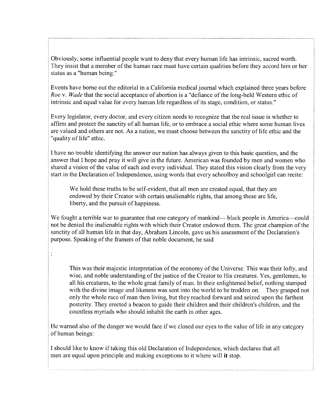Obviously, some influential people want to deny that every human life has intrinsic, sacred worth. They insist that a member of the human race must have certain qualities before they accord him or her status as a "human being."

Events have borne out the editorial in a California medical joumal which explained three years before Roe v. Wade that the social acceptance of abortion is a "defiance of the long-held Western ethic of intrinsic and equal value for every human life regardless of its stage, condition, or status."

Every legislator, every doctor, and every citizen needs to recognize that the real issue is whether to affirm and protect the sanctity of all human life, or to embrace a social ethic where some human lives are valued and others are not. As a nation, we must choose between the sanctity of life ethic and the "quality of life" ethic.

I have no trouble identifying the answer our nation has always given to this basic question, and the answer that I hope and pray it will give in the future. American was founded by men and women who shared a vision of the value of each and every individual. They stated this vision clearly from the very start in the Declaration of Independence, using words that every schoolboy and schoolgirl can recite:

We hold these truths to be self-evident, that all men are created equal, that they are endowed by their Creator with certain unalienable rights, that among these are life, liberty, and the pursuit of happiness.

We fought a terrible war to guarantee that one category of mankind- black people in America-could not be denied the inalienable rights with which their Creator endowed them. The great champion of the sanctity of all human life in that day, Abraham Lincoln, gave us his assessment of the Declaration's purpose. Speaking of the framers of that noble document, he said

 $\ddot{\cdot}$ 

This was their majestic interpretation of the economy of the Universe. This was their lofty, and i wise, and noble understanding of the justice of the Creator to His creatures. Yes, gentlemen, to all his creatures, to the whole great family of man. In their enlightened belief, nothing stamped i with the divine image and likeness was sent into the world to be trodden on. . . They grasped not only the whole race of man then living, but they reached forward and seized upon the farthest posterity. They erected a beacon to guide their children and their children's children, and the countless myriads who should inhabit the earth in other ages.

i

I

,

He warned also of the danger we would face if we closed our eyes to the value of life in any category of human beings:

I should like to know if taking this old Declaration of Independence, which declares that all men are equal upon principle and making exceptions to it where will it stop.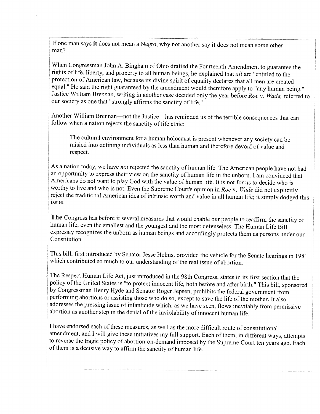If one man says it does not mean a Negro, why not another say it does not mean some other man?

When Congressman John A. Bingham of Ohio drafted the Fourteenth Amendment to guarantee the rights of life, liberty, and property to all human beings, he explained that all are "entitled to the protection of American law, because its divine spirit of equality declares that allmen are created equal." He said the right guaranteed by the amendment would therefore apply to "any human being." Justice William Brennan, writing in another case decided only the year before Roe v. Wade, referred to our society as one that "strongly affirms the sanctity of life."

Another William Brennan-not the Justice-has reminded us of the terrible consequences that can follow when a nation rejects the sanctity of life ethic:

The cultural environment for a human holocaust is present whenever any society can be misled into defining individuals as less than human and therefore devoid of value and respect.

As a nation today, we have not rejected the sanctity of human life. The American people have not had an opportunity to express their view on the sanctity of human life in the unborn. I am convinced that Americans do not want to play God with the value of human life. It is not for us to decide who is worthy to live and who is not. Even the Supreme Court's opinion in Roe v. Wade did not explicitly reject the traditional American idea of intrinsic worth and value in all human life; it simply dodged this issue.

The Congress has before it several measures that would enable our people to reaffirm the sanctity of human life, even the smallest and the youngest and the most defenseless. The Human Life Bill expressly recognizes the unborn as human beings and accordingly protects them as persons under our Constitution.

This bill, first introduced by Senator Jesse Helms, provided the vehicle for the Senate hearings in 1981 which contributed so much to our understanding of the real issue of abortion.

The Respect Human Life Act, just introduced in the 98th Congress, states in its first section that the policy of the United States is "to protect innocent life, both before and after birth." This bill, sponsored by Congressman Henry Hyde and Senator Roger Jepsen, prohibits the federal govemment from performing abortions or assisting those who do so, except to save the life of the mother. It also addresses the pressing issue of infanticide which, as we have seen, flows inevitably from permissive abortion as another step in the denial of the inviolability of innocent human life.

I have endorsed each of these measures, as well as the more difficult route of constitutional amendment, and I will give these initiatives my full support. Each of them, in different ways, attempts to reverse the tragic policy of abortion-on-demand imposed by the Supreme Court ten years ago. Each of them is a decisive way to affirm the sanctity of human life.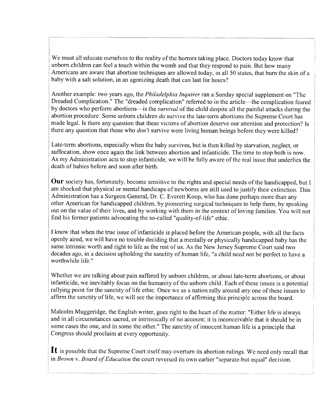We must all educate ourselves to the reality of the horrors taking place. Doctors today know that unbom children can feel a touch within the womb and that they respond to pain. But how many Americans are aware that abortion techniques are allowed today, in all 50 states, that burn the skin of a baby with a salt solution, in an agonizing death that can last for hours?

Another example: two years ago, the *Philadelphia Inquirer* ran a Sunday special supplement on "The Dreaded Complication." The "dreaded complication" referred to in the article-the complication feared by doctors who perform abortions-is the *survival* of the child despite all the painful attacks during the abortion procedure. Some unborn children do survive the late-term abortions the Supreme Court has made legal. Is there any question that these victims of abortion deserve our attention and protection? Is there any question that those who *don't* survive were living human beings before they were killed?

Late-term abortions, especially when the baby survives, but is then killed by starvation, neglect, or suffocation, show once again the link between abortion and infanticide. The time to stop both is now. As my Administration acts to stop infanticide, we will be fully aware of the real issue that underlies the death of babies before and soon after birth.

Our society has, fortunately, become sensitive to the rights and special needs of the handicapped, but I am shocked that physical or mental handicaps of newborns are still used to justify their extinction. This Administration has a Surgeon General, Dr. C. Everett Koop, who has done perhaps more than any other American for handicapped children, by pioneering surgical techniques to help them, by speaking out on the value of their lives, and by working with them in the context of loving families. You will not find his former patients advocating the so-called "quality-of-life" ethic.

I know that when the true issue of infanticide is placed before the American people, with all the facts openly aired, we will have no trouble deciding that a mentally or physically handicapped baby has the same intrinsic worth and right to life as the rest of us. As the New Jersey Supreme Court said two decades ago, in a decision upholding the sanctity of human life, "a child need not be perfect to have a worthwhile life."

Whether we are talking about pain suffered by unborn children, or about late-term abortions, or about infanticide, we inevitably focus on the humanity of the unborn child. Each of these issues is a potential rallying point for the sanctity of life ethic. Once we as a nation rally around any one of these issues to affirm the sanctity of life, we will see the importance of affirming this principle across the board.

Malcolm Muggeridge, the English writer, goes right to the heart of the matter: "Either life is always and in all circumstances sacred, or intrinsically of no account; it is inconceivable that it should be in some cases the one, and in some the other." The sanctity of innocent human life is a principle that Congress should proclaim at every opportunity.

It is possible that the Supreme Court itself may overturn its abortion rulings. We need only recall that in Brown v. Board of Education the court reversed its own earlier "separate-but-equal" decision.